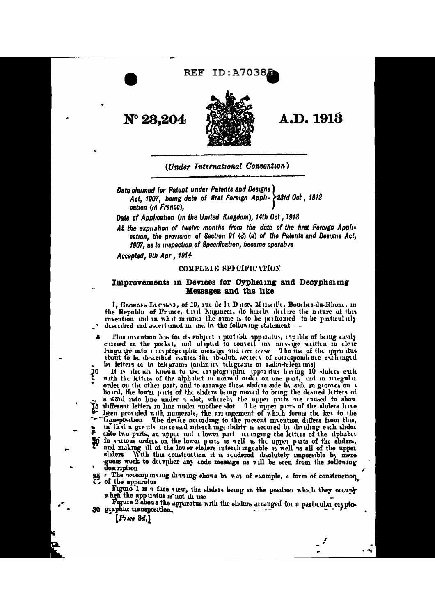## **REF ID:A70388**



# **A.D. 1913**

(Under International Convention)

Date claimed for Patent under Patents and Designs Act, 1907, being date of first Foreign Appli- > 23rd Oct, 1912 cation (in France),

Date of Application (in the United Kingdom), 14th Oct, 1913

At the expliation of twelve months from the date of the first Foreign Application, the provision of Section 91 (3) (a) of the Patents and Designs Act. 1907, as to inspection of Specification, became operative

Accepted, 9th Apr, 1914

 $N^{\circ} 23,204$ 

### COMPLETE SPECIFIC VIION

### Improvements in Devices for Cypheling and Decypheling **Messages and the like**

I, GLORGES LUCAGNE, of 19, rue de 11 Durse, Musselle, Bouches-du-Rhone, in the Republic of Frince, Civil Engineer, do hereby declare the nature of this invention and in what manner the same is to be performed to be particularly described and ascertained in and by the following statement -

This invention has for its subject a portable upp natus, expable of being easily curred in the pocket, and adapted to convert unvantessage written in clear ĥ language into a civiptographic message and necessary The use of the apparatus the distribution of the process of the theory of correspondence exchanged<br>by letters or by telegrams (ordinary telegrams or radio-telegrams)

It is the adv known to use eryptographic upper itus having 10 sliders each 10 with the letters of the alphabet in normal order on one part, and in miegular order on the other part, and to arrange these sliders side by side in grooves on a board, the lower parts of the sliders being moved to bring the desired letters of ... a world into line under a slot, whereby the upper parts are caused to show "lignsposition The device according to the present invention differs from this, in that a greatly increased interchange thility is secured by dividing each slider aifo two parts, an upper und a lower part are inging the letters of the alphabet in virtuous orders on the lower puts is well is the upper puts of the shders, and making ill of the lower shders interchingcable is well as all of the shders, and making ill of the lower shders interchingcable is well as a 36. guess work to decypher any code message as will be seen from the rollowing dest ription

25 r The accompanying drawing shows by way of example, a form of construction.

Figure 1 is a face view, the sliders being in the position which they occupy when the app untus is not in use<br>Figure 2 shows the apparatus with the shiders arranged for a particular crypto-

30 giaphic transposition.

 $[P_1$ ice 8d.]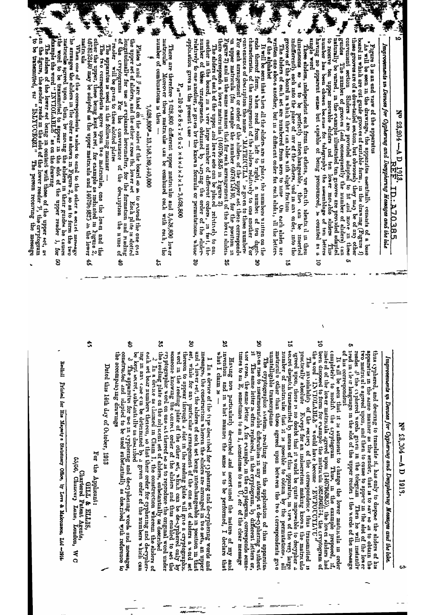č to receive ten upper movable aliders und ten lower movable sliders This that is a seen chosen between between the state of the propertion of the permet sense but capped to the state of the state of the propertion of the st board in which are cut greater is  $\mathcal{L}_{\text{total}}$ ,  $\mathcal{L}_{\text{total}}$ ,  $\mathcal{L}_{\text{total}}$ ,  $\mathcal{L}_{\text{total}}$  they may be of any other consequent section. Sliders 2 are provided adapted to it and move in these grades The number of grootes ungle word<br>
These sliders, independent each from the others, re strictly identic il in then<br>
These sliders, independent each from the others, re strictly identic il in then<br>
indifferently, each nuto the place of uny of the relatively to one another, is given by the known formula or permutations, whose man ber of these urangements obtained by varying the order of the sliders The sluders of each set are numbered from zero to mue (bn each slude, are written one above another, but mu different order for each slude, if the lettergrooves of the board in which they can slide with slight fruction <sup>7</sup> The apparatus is used in the following manner  $-$ <br>
1 The two correspondents agree upon two matriculus, one the lower and the other the upper, these being kept secret, for example as midicated in ligrare 2, to these be of the cryptograms for use couverance.<br>"reader will be green to these slotted plates" There are therefore 3 0.28,800 different upper matriculus and 3,0.28,800 lower undtrouke Moreover these matricules can be combined each with each, the un upper matricula (for evample the number 697815490, for the postron in Figure 2) and in the same mannei that for each arrangement of the low ci shideis there corresponds a lower matricula (40796)825 in Legure 2) characteristic of the arrangement of the sluden relatively to one another Formation of the arrangement of the sludent relationships of description the name ( $\frac{1}{N}$ )  $\frac{1}{N}$  ( $\frac{1}{N}$ )  $\frac{1}{N}$  ( $\frac{1}{N}$ ) of  $\frac{1}{N$ ends thereof form, when read from left to right, a number of ten of the alphabet the upper set of shders, and the other uross the lower set Ench plue is sdotted longtrudinally for use as explained herematics, for the formation and reading of the cryptograms For the convenience of the destription the nu number of combinations is then -For each arrangement or order of the sluder of the upper set there corresponds board in which are cut guide groot es of suitable form, in the drawing  $(F \text{igure } i)$  these grooves are of a dove-tailed eeotion, but obviously they may be of any other. application gives in the present case mother in the board, in a very large number of different orders, "hs will be seen in the drawings, the apparatus essentially consists of a base It will be seen that when all the sliders are in place, the numbers written on the Improtements in Devices for Cyphering and Decyphering Hessages and the like Plates 3 and 3' are fixed on the sudes of the board so as to extend the one over Figure 3 is an end view of the apparatus The aliders of each of the upper and lower sets can be placed relatively to one  $P_{10} = 10 \times 9 \times 8 \times 7 \times 6 \times 5 \times 4 \times 4 \times 4 \times 2 \times 1 = 3,628,8000$  $3,628,800^2 = 13,168,189,440,000$ N° 23,204 - A D **REEL**<br>REEL 1D.A70385 in tact, the n durit<br>Lor ě Ė ۹Ś,  $\overline{5}$ ෪ ă ین<br>در

matriculu ė,

 $\mathbb{R}^k$  le arranges the shiders in the order as shown in Figure 2, so as to form the two work the revolution of the most than the model is allowed upon, then, by moving the shiders in their guides he causes that the te When one of the correspondents wishes to send to the other a sect t message g

 $\mathbb{F}_n$ , an the hgurs, the sender reads in the slot of the lower reader  $\mathcal{Y}_r$ , the cryptogram  $\mathcal{Y}_r$  of the lower reader  $\mathcal{Y}_r$  the cryptogram The sliders of the lower set being in contact with those of the upper set, as The person receiving the message

Nº 23,204 - AD 1919

# Improvements in Devices for Cyphervin and Devypherrng Messages and the late.

reader 3' the cryhered words green in the telegram Then he will instantive reader 3' the cryhered words green in the telephore is apparatus in the same manner as the sender, that is to say so dis to obtain the thus cyphered, and desiring to translate it, has only to dispose the sliders of his two mairicule agreed upon, and then to cause to appert in the slot of the lower

It will be seen that it is sufficient to change the lower mathroula in order completely to modify the cryptogram Thus, in the example proposed, if, it is expressional Thus, in the example proposed, if, it is expressed in or his correspondent

5 been disposed to form for evample the matricula 682.3960174, the cryptogram of the word 'LNVIOLABLE'" would have become 'EWFOUCYLIVU'

ă practeally absolute Reept for an indiscretion making known the matriculaus ureed upon, there is no doubt that it would be quite impossible to decypher a secret dispatch transmitted by means of this uppartus, in i.e. of lar The mylolability of the tectro-of the correspondence thus transmitted is

matricule other than those agreed upon between the two correspondents groe unitelligible transcriptions

Š The cryptographic stetem, resulting from the application of this appartition grass trace to insurmountable difficulties in any attempt at de-cyphering without it. The same letter is often replaced, in the cryptogram, by d

nontnou times to an  $E_j$ , sometimes to an  $I_j$ , sometimes to an  $U_j$ , etc of the clear message Having non purttuularly devershed and ascert uned the nature of my said

 $\tilde{a}$ what I claim 18 and in what manner the same is to be performed, I declare

g set, while for any particular arrangement of the one set of shiders a word set and a lower set, the sliders of each set being interchangeable in position in messness, the construction wherein the sliders are arranged in two sets, an upper I In a device of the type described for cyphering and de-cyphering words and .<br>Thut

word in the reading plate of the other set, which can be de-typhered only by by the reading plate of the other set, which can be ally by cryptographic word on one wt thereof so as to reproduce the original word under thereon to appear through a slot in the reading plate will give a cryptographic

ă the neading plate on the add ucent set of shiders, subwtantaally as described of  $\frac{2}{\lambda}$ . In a device as (lained in Claim 1, the construction wherein the shiders of each set bear numbers thereon, so that their order for cyphening and de-cypher-

Ś ing in any case cum be determined by a grven order of the numbers which can

be kept secret, substanti the as described <sup>-</sup><br>Che apparatus for use in cyphering and de-cypheinig words and messages,<br>Che apparatus for use in cyphering and de-cypheinig words and messages, the accompany mg drawings

Dated this 14th day of October, 1913

ror the Applicant. **GITIE & LILES** 

 $\ddot{x}$ 

65/56, Chartered Patent Agents,<br>
, Chancery Lane, Loudo

TODIOT'  $\Omega$   $\Lambda$ 

Redinil Printed for His Majesty's Stationery Office, by Love & Malcomeon, Ltd --1914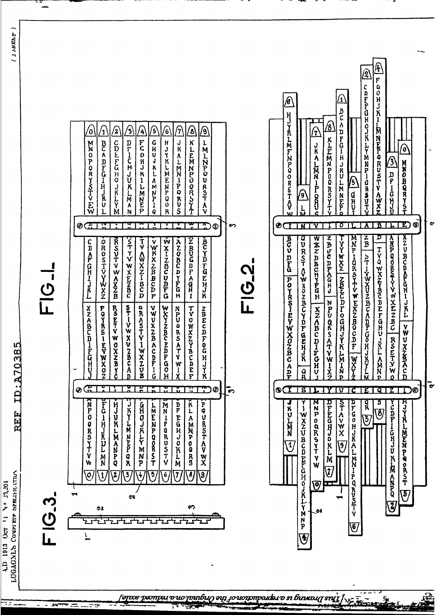

 $I$  ARELT